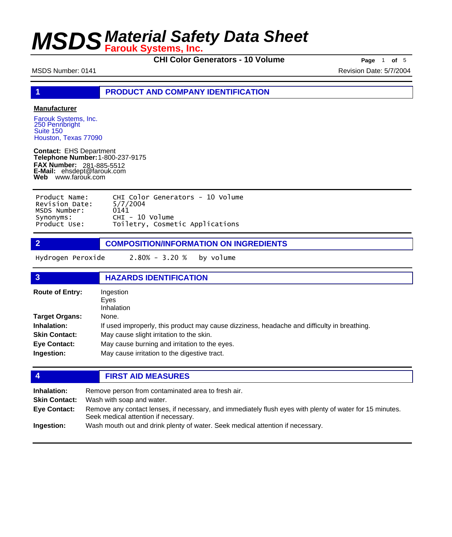**CHI Color Generators - 10 Volume Page** 1 of 5

MSDS Number: 0141 **Revision Date: 5/7/2004** Revision Date: 5/7/2004

**1 PRODUCT AND COMPANY IDENTIFICATION**

### **Manufacturer**

Farouk Systems, Inc. 250 Pennbright Suite 150 Houston, Texas 77090

**Contact:** EHS Department **Telephone Number:** 1-800-237-9175 **FAX Number: FAX Number:** 281-885-5512<br>**E-Mail:** ehsdept@farouk.com **Web** www.farouk.com

| Product Name:  | CHI Color Generators - 10 Volume |
|----------------|----------------------------------|
| Revision Date: | 5/7/2004                         |
| MSDS Number:   | 0141                             |
| Synonyms:      | $CHI - 10$ Volume                |
| Product Use:   | Toiletry, Cosmetic Applications  |

**2 COMPOSITION/INFORMATION ON INGREDIENTS**

Hydrogen Peroxide 2.80% - 3.20 % by volume

| $\overline{3}$                                                                             | <b>HAZARDS IDENTIFICATION</b>                                                                                                                                                                                                                     |  |
|--------------------------------------------------------------------------------------------|---------------------------------------------------------------------------------------------------------------------------------------------------------------------------------------------------------------------------------------------------|--|
| <b>Route of Entry:</b>                                                                     | Ingestion<br>Eves<br><b>Inhalation</b>                                                                                                                                                                                                            |  |
| Target Organs:<br><b>Inhalation:</b><br><b>Skin Contact:</b><br>Eye Contact:<br>Ingestion: | None.<br>If used improperly, this product may cause dizziness, headache and difficulty in breathing.<br>May cause slight irritation to the skin.<br>May cause burning and irritation to the eyes.<br>May cause irritation to the digestive tract. |  |

### **4 FIRST AID MEASURES**

| Inhalation:          | Remove person from contaminated area to fresh air.                                                                                               |
|----------------------|--------------------------------------------------------------------------------------------------------------------------------------------------|
| <b>Skin Contact:</b> | Wash with soap and water.                                                                                                                        |
| Eye Contact:         | Remove any contact lenses, if necessary, and immediately flush eyes with plenty of water for 15 minutes.<br>Seek medical attention if necessary. |
| Ingestion:           | Wash mouth out and drink plenty of water. Seek medical attention if necessary.                                                                   |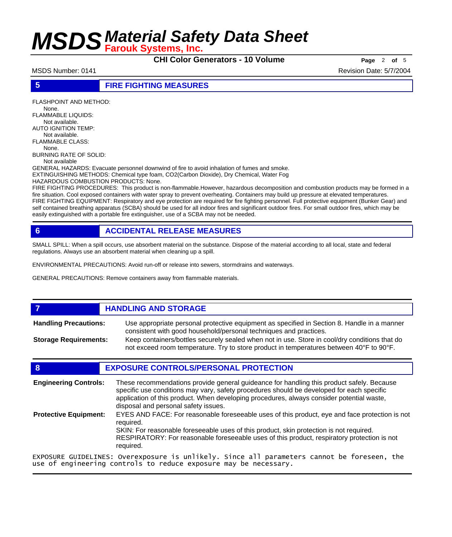**CHI Color Generators - 10 Volume Page** <sup>2</sup> **of** <sup>5</sup>

MSDS Number: 0141 **Revision Date: 5/7/2004** Revision Date: 5/7/2004

## **5 FIRE FIGHTING MEASURES**

FLASHPOINT AND METHOD: None. FLAMMABLE LIQUIDS: Not available. AUTO IGNITION TEMP: Not available. FLAMMABLE CLASS: None. BURNING RATE OF SOLID: Not available GENERAL HAZARDS: Evacuate personnel downwind of fire to avoid inhalation of fumes and smoke. EXTINGUISHING METHODS: Chemical type foam, CO2(Carbon Dioxide), Dry Chemical, Water Fog

HAZARDOUS COMBUSTION PRODUCTS: None.

FIRE FIGHTING PROCEDURES: This product is non-flammable.However, hazardous decomposition and combustion products may be formed in a fire situation. Cool exposed containers with water spray to prevent overheating. Containers may build up pressure at elevated temperatures. FIRE FIGHTING EQUIPMENT: Respiratory and eye protection are required for fire fighting personnel. Full protective equipment (Bunker Gear) and self contained breathing apparatus (SCBA) should be used for all indoor fires and significant outdoor fires. For small outdoor fires, which may be easily extinguished with a portable fire extinguisher, use of a SCBA may not be needed.

## **6 ACCIDENTAL RELEASE MEASURES**

SMALL SPILL: When a spill occurs, use absorbent material on the substance. Dispose of the material according to all local, state and federal regulations. Always use an absorbent material when cleaning up a spill.

ENVIRONMENTAL PRECAUTIONS: Avoid run-off or release into sewers, stormdrains and waterways.

GENERAL PRECAUTIONS: Remove containers away from flammable materials.

## *HANDLING AND STORAGE*

Use appropriate personal protective equipment as specified in Section 8. Handle in a manner consistent with good household/personal techniques and practices. **Handling Precautions:** Keep containers/bottles securely sealed when not in use. Store in cool/dry conditions that do **Storage Requirements:**

not exceed room temperature. Try to store product in temperatures between 40°F to 90°F.

## **8 EXPOSURE CONTROLS/PERSONAL PROTECTION**

| <b>Engineering Controls:</b> | These recommendations provide general guideance for handling this product safely. Because<br>specific use conditions may vary, safety procedures should be developed for each specific<br>application of this product. When developing procedures, always consider potential waste,<br>disposal and personal safety issues. |  |
|------------------------------|-----------------------------------------------------------------------------------------------------------------------------------------------------------------------------------------------------------------------------------------------------------------------------------------------------------------------------|--|
| <b>Protective Equipment:</b> | EYES AND FACE: For reasonable foreseeable uses of this product, eye and face protection is not<br>reauired.<br>SKIN: For reasonable foreseeable uses of this product, skin protection is not required.<br>RESPIRATORY: For reasonable foreseeable uses of this product, respiratory protection is not<br>required.          |  |
|                              | EXPOSURE GUIDELINES: Overexposure is unlikely. Since all parameters cannot be foreseen, the                                                                                                                                                                                                                                 |  |

EXPOSURE GUIDELINES: Overexposure is unlikely. Since all parameters cannot be foreseen, the use of engineering controls to reduce exposure may be necessary.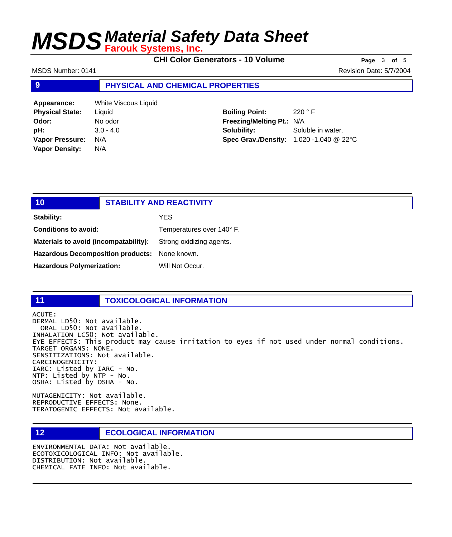**CHI Color Generators - 10 Volume Page** <sup>3</sup> **of** <sup>5</sup>

MSDS Number: 0141 Revision Date: 5/7/2004

### **9 PHYSICAL AND CHEMICAL PROPERTIES**

| Appearance:            | White Viscous Liquid |
|------------------------|----------------------|
| <b>Physical State:</b> | Liquid               |
| Odor:                  | No odor              |
| pH:                    | $3.0 - 4.0$          |
| <b>Vapor Pressure:</b> | N/A                  |
| <b>Vapor Density:</b>  | N/A                  |

**Boiling Point:** 220 ° F **Freezing/Melting Pt.:** N/A **Solubility:** Soluble in water. **Spec Grav./Density:** 1.020 -1.040 @ 22°C

| 10                                            | <b>STABILITY AND REACTIVITY</b> |
|-----------------------------------------------|---------------------------------|
| Stability:                                    | YES                             |
| <b>Conditions to avoid:</b>                   | Temperatures over 140° F.       |
| Materials to avoid (incompatability):         | Strong oxidizing agents.        |
| Hazardous Decomposition products: None known. |                                 |
| <b>Hazardous Polymerization:</b>              | Will Not Occur.                 |

### **11 TOXICOLOGICAL INFORMATION**

ACUTE: DERMAL LD50: Not available. ORAL LD50: Not available. INHALATION LC50: Not available. EYE EFFECTS: This product may cause irritation to eyes if not used under normal conditions. TARGET ORGANS: NONE. SENSITIZATIONS: Not available. CARCINOGENICITY: IARC: Listed by IARC - No. NTP: Listed by NTP - No. OSHA: Listed by OSHA - No.

MUTAGENICITY: Not available. REPRODUCTIVE EFFECTS: None. TERATOGENIC EFFECTS: Not available.

## **12 ECOLOGICAL INFORMATION**

ENVIRONMENTAL DATA: Not available. ECOTOXICOLOGICAL INFO: Not available. DISTRIBUTION: Not available. CHEMICAL FATE INFO: Not available.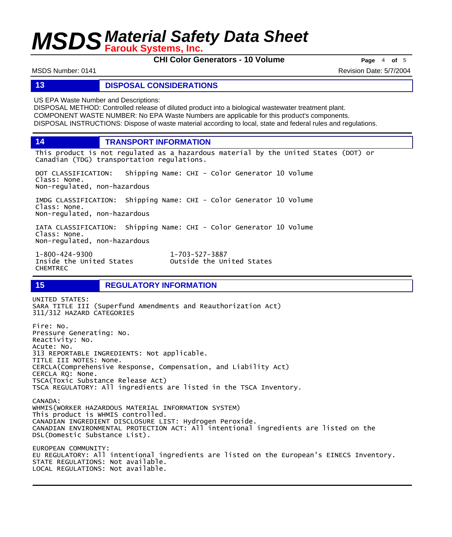**CHI Color Generators - 10 Volume Page** <sup>4</sup> **of** <sup>5</sup>

MSDS Number: 0141 **Revision Date: 5/7/2004** Revision Date: 5/7/2004

### **13 DISPOSAL CONSIDERATIONS**

US EPA Waste Number and Descriptions:

DISPOSAL METHOD: Controlled release of diluted product into a biological wastewater treatment plant. COMPONENT WASTE NUMBER: No EPA Waste Numbers are applicable for this product's components. DISPOSAL INSTRUCTIONS: Dispose of waste material according to local, state and federal rules and regulations.

**14 TRANSPORT INFORMATION**

This product is not regulated as a hazardous material by the United States (DOT) or Canadian (TDG) transportation regulations.

DOT CLASSIFICATION: Shipping Name: CHI - Color Generator 10 Volume Class: None. Non-regulated, non-hazardous

IMDG CLASSIFICATION: Shipping Name: CHI - Color Generator 10 Volume Class: None. Non-regulated, non-hazardous

IATA CLASSIFICATION: Shipping Name: CHI - Color Generator 10 Volume Class: None. Non-regulated, non-hazardous

1-800-424-9300 1-703-527-3887 CHEMTREC

Outside the United States

## **15 REGULATORY INFORMATION**

UNITED STATES: SARA TITLE III (Superfund Amendments and Reauthorization Act) 311/312 HAZARD CATEGORIES Fire: No. Pressure Generating: No. Reactivity: No. Acute: No. 313 REPORTABLE INGREDIENTS: Not applicable. TITLE III NOTES: None. CERCLA(Comprehensive Response, Compensation, and Liability Act) CERCLA RQ: None. TSCA(Toxic Substance Release Act) TSCA REGULATORY: All ingredients are listed in the TSCA Inventory. CANADA: WHMIS(WORKER HAZARDOUS MATERIAL INFORMATION SYSTEM) This product is WHMIS controlled. CANADIAN INGREDIENT DISCLOSURE LIST: Hydrogen Peroxide. CANADIAN ENVIRONMENTAL PROTECTION ACT: All intentional ingredients are listed on the DSL(Domestic Substance List). EUROPEAN COMMUNITY: EU REGULATORY: All intentional ingredients are listed on the European's EINECS Inventory. STATE REGULATIONS: Not available.

LOCAL REGULATIONS: Not available.